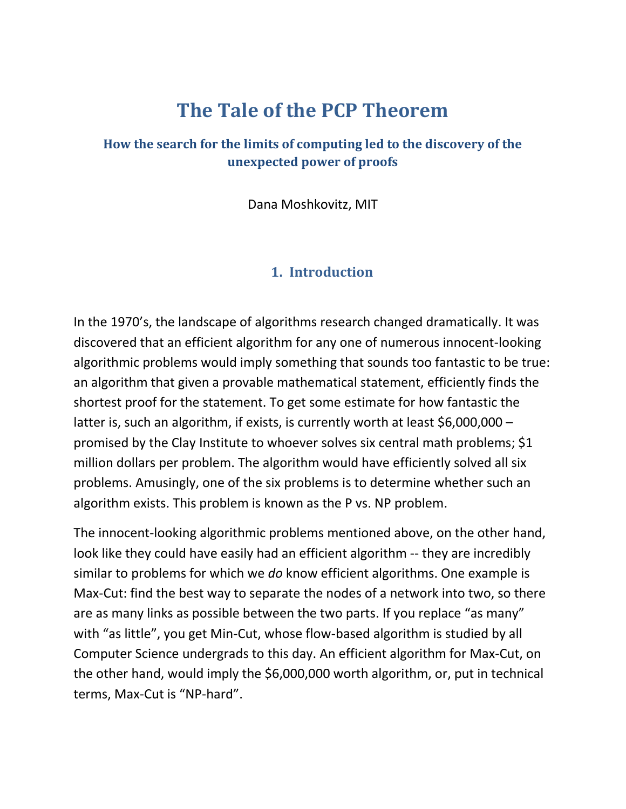# **The Tale of the PCP Theorem**

#### **How the search for the limits of computing led to the discovery of the unexpected power of proofs**

Dana Moshkovitz, MIT

#### **1. Introduction**

In the 1970's, the landscape of algorithms research changed dramatically. It was discovered that an efficient algorithm for any one of numerous innocent-looking algorithmic problems would imply something that sounds too fantastic to be true: an algorithm that given a provable mathematical statement, efficiently finds the shortest proof for the statement. To get some estimate for how fantastic the latter is, such an algorithm, if exists, is currently worth at least \$6,000,000 – promised by the Clay Institute to whoever solves six central math problems; \$1 million dollars per problem. The algorithm would have efficiently solved all six problems. Amusingly, one of the six problems is to determine whether such an algorithm exists. This problem is known as the P vs. NP problem.

The innocent-looking algorithmic problems mentioned above, on the other hand, look like they could have easily had an efficient algorithm -- they are incredibly similar to problems for which we *do* know efficient algorithms. One example is Max-Cut: find the best way to separate the nodes of a network into two, so there are as many links as possible between the two parts. If you replace "as many" with "as little", you get Min-Cut, whose flow-based algorithm is studied by all Computer Science undergrads to this day. An efficient algorithm for Max-Cut, on the other hand, would imply the \$6,000,000 worth algorithm, or, put in technical terms, Max-Cut is "NP-hard".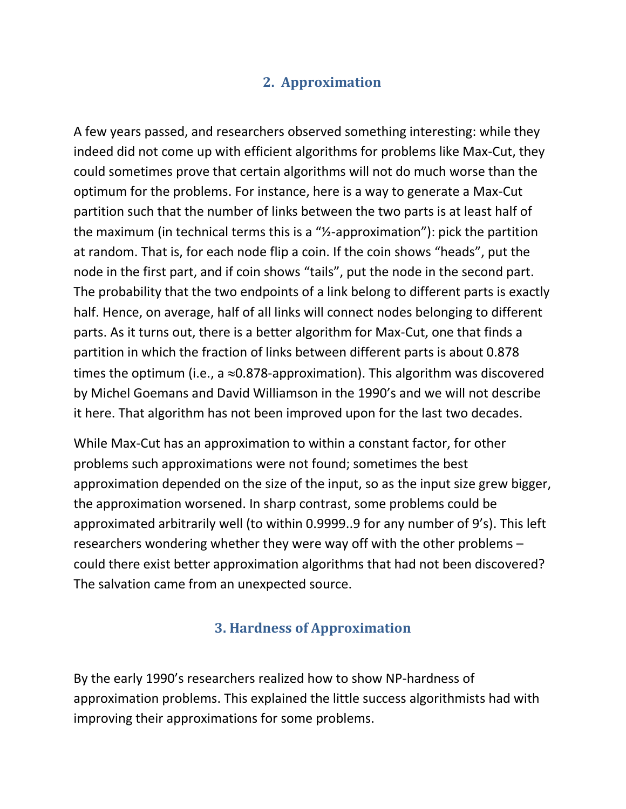### **2. Approximation**

A few years passed, and researchers observed something interesting: while they indeed did not come up with efficient algorithms for problems like Max-Cut, they could sometimes prove that certain algorithms will not do much worse than the optimum for the problems. For instance, here is a way to generate a Max-Cut partition such that the number of links between the two parts is at least half of the maximum (in technical terms this is a "½-approximation"): pick the partition at random. That is, for each node flip a coin. If the coin shows "heads", put the node in the first part, and if coin shows "tails", put the node in the second part. The probability that the two endpoints of a link belong to different parts is exactly half. Hence, on average, half of all links will connect nodes belonging to different parts. As it turns out, there is a better algorithm for Max-Cut, one that finds a partition in which the fraction of links between different parts is about 0.878 times the optimum (i.e., a  $\approx 0.878$ -approximation). This algorithm was discovered by Michel Goemans and David Williamson in the 1990's and we will not describe it here. That algorithm has not been improved upon for the last two decades.

While Max-Cut has an approximation to within a constant factor, for other problems such approximations were not found; sometimes the best approximation depended on the size of the input, so as the input size grew bigger, the approximation worsened. In sharp contrast, some problems could be approximated arbitrarily well (to within 0.9999..9 for any number of 9's). This left researchers wondering whether they were way off with the other problems – could there exist better approximation algorithms that had not been discovered? The salvation came from an unexpected source.

### **3. Hardness of Approximation**

By the early 1990's researchers realized how to show NP-hardness of approximation problems. This explained the little success algorithmists had with improving their approximations for some problems.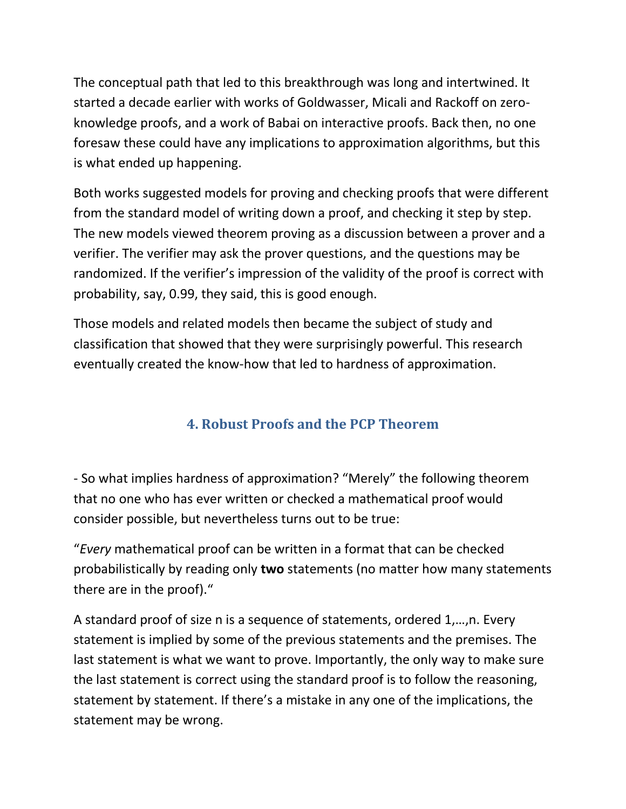The conceptual path that led to this breakthrough was long and intertwined. It started a decade earlier with works of Goldwasser, Micali and Rackoff on zeroknowledge proofs, and a work of Babai on interactive proofs. Back then, no one foresaw these could have any implications to approximation algorithms, but this is what ended up happening.

Both works suggested models for proving and checking proofs that were different from the standard model of writing down a proof, and checking it step by step. The new models viewed theorem proving as a discussion between a prover and a verifier. The verifier may ask the prover questions, and the questions may be randomized. If the verifier's impression of the validity of the proof is correct with probability, say, 0.99, they said, this is good enough.

Those models and related models then became the subject of study and classification that showed that they were surprisingly powerful. This research eventually created the know-how that led to hardness of approximation.

### **4. Robust Proofs and the PCP Theorem**

- So what implies hardness of approximation? "Merely" the following theorem that no one who has ever written or checked a mathematical proof would consider possible, but nevertheless turns out to be true:

"*Every* mathematical proof can be written in a format that can be checked probabilistically by reading only **two** statements (no matter how many statements there are in the proof)."

A standard proof of size n is a sequence of statements, ordered 1,…,n. Every statement is implied by some of the previous statements and the premises. The last statement is what we want to prove. Importantly, the only way to make sure the last statement is correct using the standard proof is to follow the reasoning, statement by statement. If there's a mistake in any one of the implications, the statement may be wrong.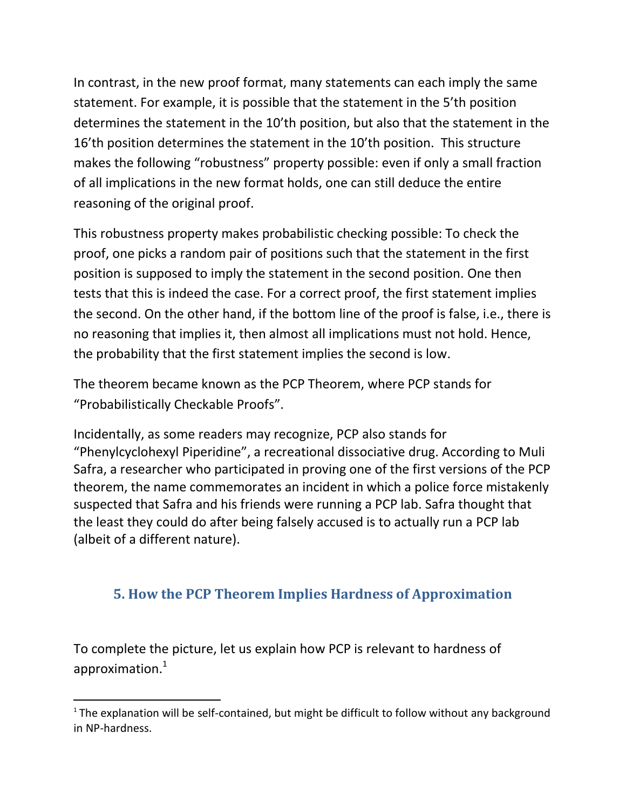In contrast, in the new proof format, many statements can each imply the same statement. For example, it is possible that the statement in the 5'th position determines the statement in the 10'th position, but also that the statement in the 16'th position determines the statement in the 10'th position. This structure makes the following "robustness" property possible: even if only a small fraction of all implications in the new format holds, one can still deduce the entire reasoning of the original proof.

This robustness property makes probabilistic checking possible: To check the proof, one picks a random pair of positions such that the statement in the first position is supposed to imply the statement in the second position. One then tests that this is indeed the case. For a correct proof, the first statement implies the second. On the other hand, if the bottom line of the proof is false, i.e., there is no reasoning that implies it, then almost all implications must not hold. Hence, the probability that the first statement implies the second is low.

The theorem became known as the PCP Theorem, where PCP stands for "Probabilistically Checkable Proofs".

Incidentally, as some readers may recognize, PCP also stands for "Phenylcyclohexyl Piperidine", a recreational dissociative drug. According to Muli Safra, a researcher who participated in proving one of the first versions of the PCP theorem, the name commemorates an incident in which a police force mistakenly suspected that Safra and his friends were running a PCP lab. Safra thought that the least they could do after being falsely accused is to actually run a PCP lab (albeit of a different nature).

### **5. How the PCP Theorem Implies Hardness of Approximation**

To complete the picture, let us explain how PCP is relevant to hardness of approximation.<sup>1</sup>

 $\overline{a}$ 

<sup>&</sup>lt;sup>1</sup> The explanation will be self-contained, but might be difficult to follow without any background in NP-hardness.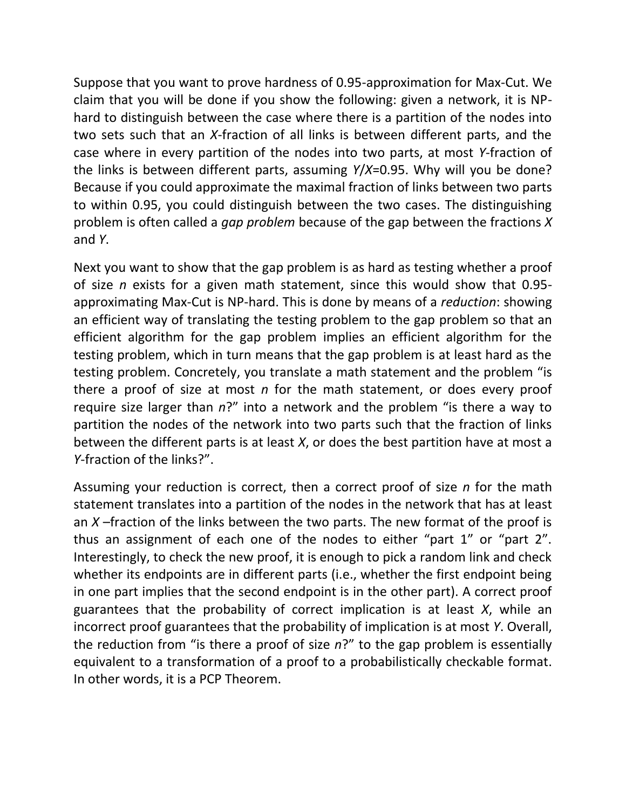Suppose that you want to prove hardness of 0.95-approximation for Max-Cut. We claim that you will be done if you show the following: given a network, it is NPhard to distinguish between the case where there is a partition of the nodes into two sets such that an *X*-fraction of all links is between different parts, and the case where in every partition of the nodes into two parts, at most *Y*-fraction of the links is between different parts, assuming *Y*/*X*=0.95. Why will you be done? Because if you could approximate the maximal fraction of links between two parts to within 0.95, you could distinguish between the two cases. The distinguishing problem is often called a *gap problem* because of the gap between the fractions *X* and *Y*.

Next you want to show that the gap problem is as hard as testing whether a proof of size *n* exists for a given math statement, since this would show that 0.95 approximating Max-Cut is NP-hard. This is done by means of a *reduction*: showing an efficient way of translating the testing problem to the gap problem so that an efficient algorithm for the gap problem implies an efficient algorithm for the testing problem, which in turn means that the gap problem is at least hard as the testing problem. Concretely, you translate a math statement and the problem "is there a proof of size at most *n* for the math statement, or does every proof require size larger than *n*?" into a network and the problem "is there a way to partition the nodes of the network into two parts such that the fraction of links between the different parts is at least *X*, or does the best partition have at most a *Y*-fraction of the links?".

Assuming your reduction is correct, then a correct proof of size *n* for the math statement translates into a partition of the nodes in the network that has at least an *X* –fraction of the links between the two parts. The new format of the proof is thus an assignment of each one of the nodes to either "part 1" or "part 2". Interestingly, to check the new proof, it is enough to pick a random link and check whether its endpoints are in different parts (i.e., whether the first endpoint being in one part implies that the second endpoint is in the other part). A correct proof guarantees that the probability of correct implication is at least *X*, while an incorrect proof guarantees that the probability of implication is at most *Y*. Overall, the reduction from "is there a proof of size *n*?" to the gap problem is essentially equivalent to a transformation of a proof to a probabilistically checkable format. In other words, it is a PCP Theorem.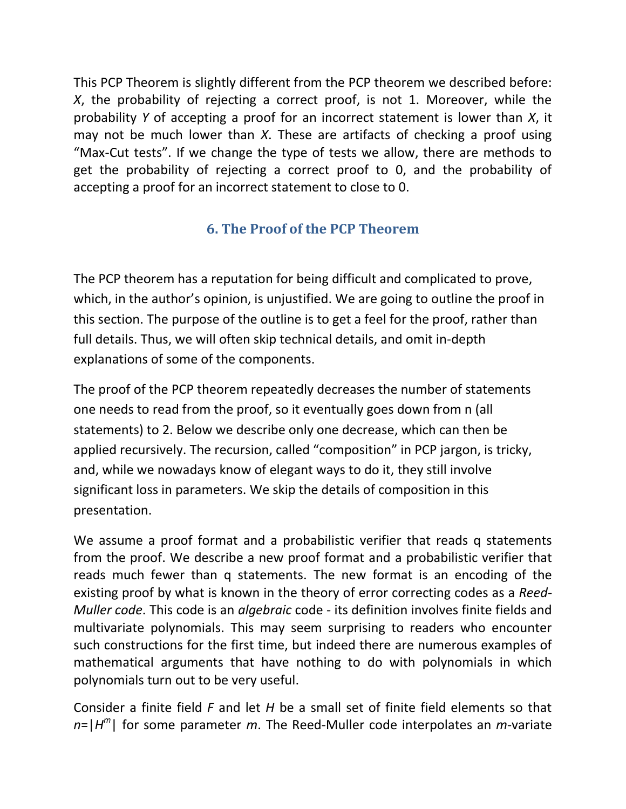This PCP Theorem is slightly different from the PCP theorem we described before: *X*, the probability of rejecting a correct proof, is not 1. Moreover, while the probability *Y* of accepting a proof for an incorrect statement is lower than *X*, it may not be much lower than *X*. These are artifacts of checking a proof using "Max-Cut tests". If we change the type of tests we allow, there are methods to get the probability of rejecting a correct proof to 0, and the probability of accepting a proof for an incorrect statement to close to 0.

## **6. The Proof of the PCP Theorem**

The PCP theorem has a reputation for being difficult and complicated to prove, which, in the author's opinion, is unjustified. We are going to outline the proof in this section. The purpose of the outline is to get a feel for the proof, rather than full details. Thus, we will often skip technical details, and omit in-depth explanations of some of the components.

The proof of the PCP theorem repeatedly decreases the number of statements one needs to read from the proof, so it eventually goes down from n (all statements) to 2. Below we describe only one decrease, which can then be applied recursively. The recursion, called "composition" in PCP jargon, is tricky, and, while we nowadays know of elegant ways to do it, they still involve significant loss in parameters. We skip the details of composition in this presentation.

We assume a proof format and a probabilistic verifier that reads q statements from the proof. We describe a new proof format and a probabilistic verifier that reads much fewer than q statements. The new format is an encoding of the existing proof by what is known in the theory of error correcting codes as a *Reed-Muller code*. This code is an *algebraic* code - its definition involves finite fields and multivariate polynomials. This may seem surprising to readers who encounter such constructions for the first time, but indeed there are numerous examples of mathematical arguments that have nothing to do with polynomials in which polynomials turn out to be very useful.

Consider a finite field *F* and let *H* be a small set of finite field elements so that *n*=|*H m* | for some parameter *m*. The Reed-Muller code interpolates an *m*-variate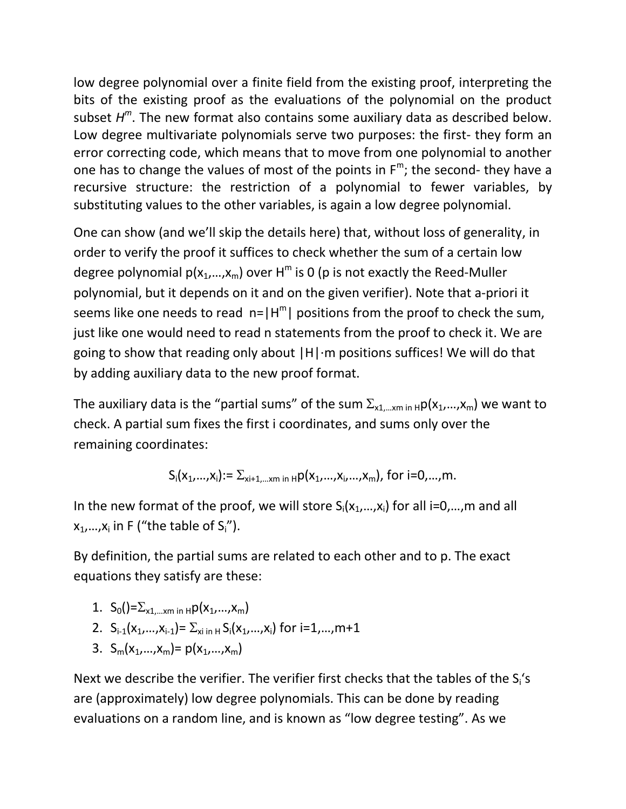low degree polynomial over a finite field from the existing proof, interpreting the bits of the existing proof as the evaluations of the polynomial on the product subset *H m* . The new format also contains some auxiliary data as described below. Low degree multivariate polynomials serve two purposes: the first- they form an error correcting code, which means that to move from one polynomial to another one has to change the values of most of the points in  $F<sup>m</sup>$ ; the second- they have a recursive structure: the restriction of a polynomial to fewer variables, by substituting values to the other variables, is again a low degree polynomial.

One can show (and we'll skip the details here) that, without loss of generality, in order to verify the proof it suffices to check whether the sum of a certain low degree polynomial p( $x_1,...,x_m$ ) over H<sup>m</sup> is 0 (p is not exactly the Reed-Muller polynomial, but it depends on it and on the given verifier). Note that a-priori it seems like one needs to read  $\mathsf{n} = |\mathsf{H}^{\mathsf{m}}|$  positions from the proof to check the sum, just like one would need to read n statements from the proof to check it. We are going to show that reading only about |H|·m positions suffices! We will do that by adding auxiliary data to the new proof format.

The auxiliary data is the "partial sums" of the sum  $\Sigma_{x1,\dots,xm}$  in Hp(x<sub>1</sub>,...,x<sub>m</sub>) we want to check. A partial sum fixes the first i coordinates, and sums only over the remaining coordinates:

$$
S_i(x_1,...,x_i):=\Sigma_{x_{i+1,...x_m \text{ in } H}p(x_1,...,x_i,...,x_m), \text{ for } i=0,...,m.
$$

In the new format of the proof, we will store  $S_i(x_1,...,x_i)$  for all i=0,...,m and all  $x_1,...,x_i$  in F ("the table of S<sub>i</sub>").

By definition, the partial sums are related to each other and to p. The exact equations they satisfy are these:

1. 
$$
S_0()=\sum_{x_1,...x_m} \ln \mu(x_1,...,x_m)
$$

2. 
$$
S_{i-1}(x_1,...,x_{i-1}) = \sum_{x_i} S_i(x_1,...,x_i)
$$
 for  $i=1,...,m+1$ 

3.  $S_m(x_1,...,x_m)=p(x_1,...,x_m)$ 

Next we describe the verifier. The verifier first checks that the tables of the  $S_i$ 's are (approximately) low degree polynomials. This can be done by reading evaluations on a random line, and is known as "low degree testing". As we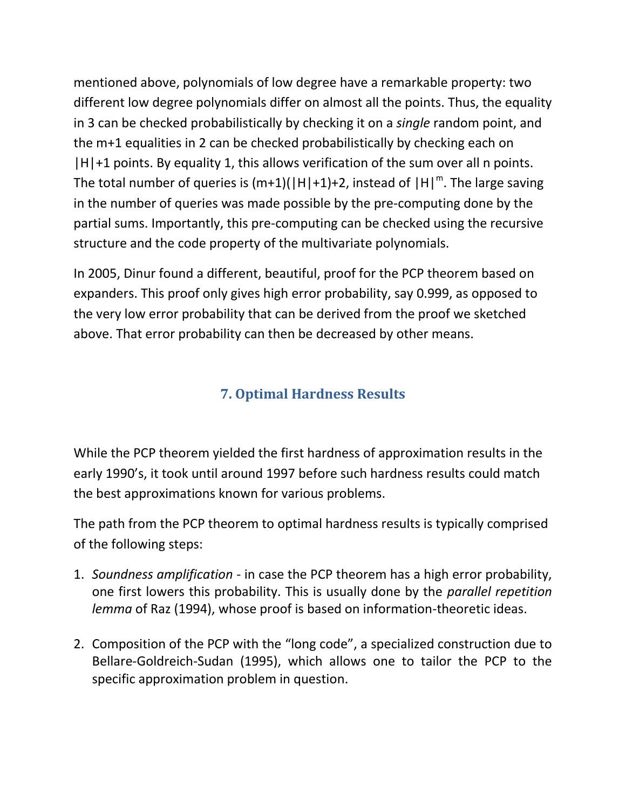mentioned above, polynomials of low degree have a remarkable property: two different low degree polynomials differ on almost all the points. Thus, the equality in 3 can be checked probabilistically by checking it on a *single* random point, and the m+1 equalities in 2 can be checked probabilistically by checking each on  $|H|+1$  points. By equality 1, this allows verification of the sum over all n points. The total number of queries is  $(m+1)(|H|+1)+2$ , instead of  $|H|^m$ . The large saving in the number of queries was made possible by the pre-computing done by the partial sums. Importantly, this pre-computing can be checked using the recursive structure and the code property of the multivariate polynomials.

In 2005, Dinur found a different, beautiful, proof for the PCP theorem based on expanders. This proof only gives high error probability, say 0.999, as opposed to the very low error probability that can be derived from the proof we sketched above. That error probability can then be decreased by other means.

## **7. Optimal Hardness Results**

While the PCP theorem yielded the first hardness of approximation results in the early 1990's, it took until around 1997 before such hardness results could match the best approximations known for various problems.

The path from the PCP theorem to optimal hardness results is typically comprised of the following steps:

- 1. *Soundness amplification* in case the PCP theorem has a high error probability, one first lowers this probability. This is usually done by the *parallel repetition lemma* of Raz (1994), whose proof is based on information-theoretic ideas.
- 2. Composition of the PCP with the "long code", a specialized construction due to Bellare-Goldreich-Sudan (1995), which allows one to tailor the PCP to the specific approximation problem in question.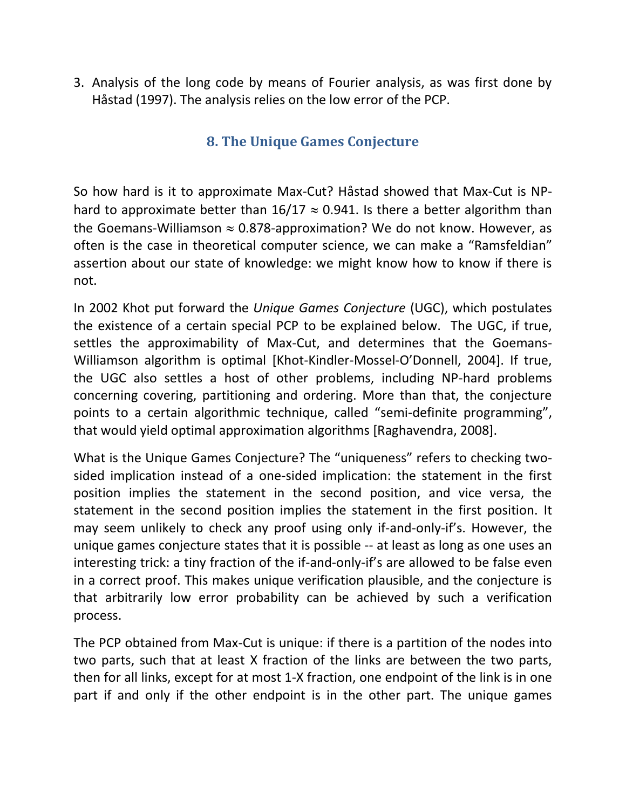3. Analysis of the long code by means of Fourier analysis, as was first done by Håstad (1997). The analysis relies on the low error of the PCP.

### **8. The Unique Games Conjecture**

So how hard is it to approximate Max-Cut? Håstad showed that Max-Cut is NPhard to approximate better than  $16/17 \approx 0.941$ . Is there a better algorithm than the Goemans-Williamson  $\approx 0.878$ -approximation? We do not know. However, as often is the case in theoretical computer science, we can make a "Ramsfeldian" assertion about our state of knowledge: we might know how to know if there is not.

In 2002 Khot put forward the *Unique Games Conjecture* (UGC), which postulates the existence of a certain special PCP to be explained below. The UGC, if true, settles the approximability of Max-Cut, and determines that the Goemans-Williamson algorithm is optimal [Khot-Kindler-Mossel-O'Donnell, 2004]. If true, the UGC also settles a host of other problems, including NP-hard problems concerning covering, partitioning and ordering. More than that, the conjecture points to a certain algorithmic technique, called "semi-definite programming", that would yield optimal approximation algorithms [Raghavendra, 2008].

What is the Unique Games Conjecture? The "uniqueness" refers to checking twosided implication instead of a one-sided implication: the statement in the first position implies the statement in the second position, and vice versa, the statement in the second position implies the statement in the first position. It may seem unlikely to check any proof using only if-and-only-if's. However, the unique games conjecture states that it is possible -- at least as long as one uses an interesting trick: a tiny fraction of the if-and-only-if's are allowed to be false even in a correct proof. This makes unique verification plausible, and the conjecture is that arbitrarily low error probability can be achieved by such a verification process.

The PCP obtained from Max-Cut is unique: if there is a partition of the nodes into two parts, such that at least X fraction of the links are between the two parts, then for all links, except for at most 1-X fraction, one endpoint of the link is in one part if and only if the other endpoint is in the other part. The unique games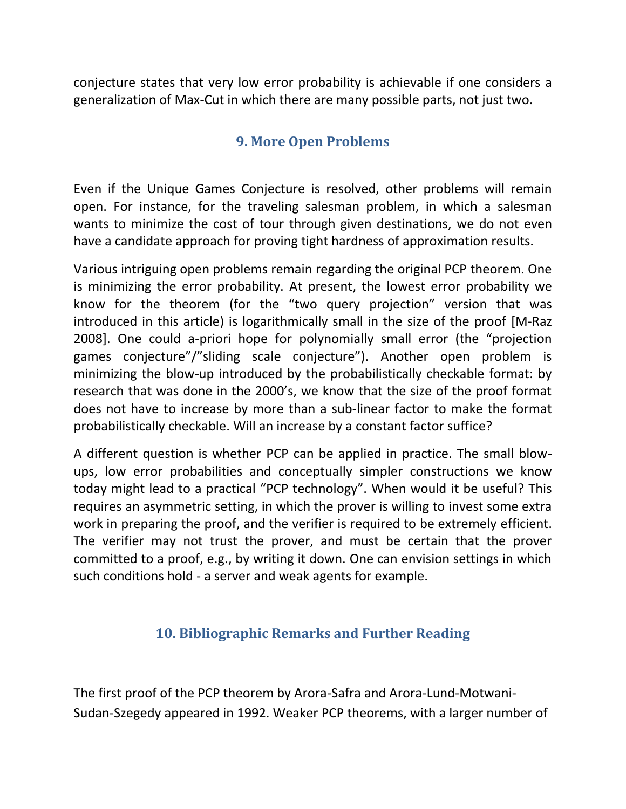conjecture states that very low error probability is achievable if one considers a generalization of Max-Cut in which there are many possible parts, not just two.

#### **9. More Open Problems**

Even if the Unique Games Conjecture is resolved, other problems will remain open. For instance, for the traveling salesman problem, in which a salesman wants to minimize the cost of tour through given destinations, we do not even have a candidate approach for proving tight hardness of approximation results.

Various intriguing open problems remain regarding the original PCP theorem. One is minimizing the error probability. At present, the lowest error probability we know for the theorem (for the "two query projection" version that was introduced in this article) is logarithmically small in the size of the proof [M-Raz 2008]. One could a-priori hope for polynomially small error (the "projection games conjecture"/"sliding scale conjecture"). Another open problem is minimizing the blow-up introduced by the probabilistically checkable format: by research that was done in the 2000's, we know that the size of the proof format does not have to increase by more than a sub-linear factor to make the format probabilistically checkable. Will an increase by a constant factor suffice?

A different question is whether PCP can be applied in practice. The small blowups, low error probabilities and conceptually simpler constructions we know today might lead to a practical "PCP technology". When would it be useful? This requires an asymmetric setting, in which the prover is willing to invest some extra work in preparing the proof, and the verifier is required to be extremely efficient. The verifier may not trust the prover, and must be certain that the prover committed to a proof, e.g., by writing it down. One can envision settings in which such conditions hold - a server and weak agents for example.

### **10. Bibliographic Remarks and Further Reading**

The first proof of the PCP theorem by Arora-Safra and Arora-Lund-Motwani-Sudan-Szegedy appeared in 1992. Weaker PCP theorems, with a larger number of